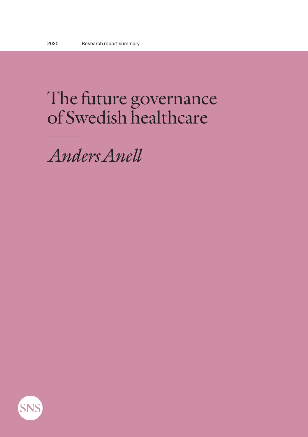# The future governance of Swedish healthcare

*Anders Anell*

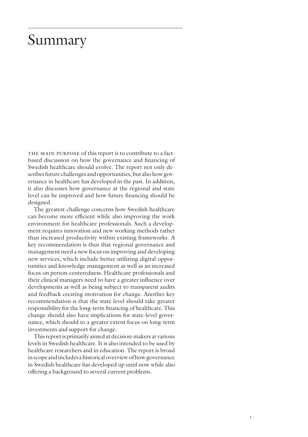## Summary

THE MAIN PURPOSE of this report is to contribute to a factbased discussion on how the governance and financing of Swedish healthcare should evolve. The report not only describes future challenges and opportunities, but also how governance in healthcare has developed in the past. In addition, it also discusses how governance at the regional and state level can be improved and how future financing should be designed.

The greatest challenge concerns how Swedish healthcare can become more efficient while also improving the work environment for healthcare professionals. Such a development requires innovation and new working methods rather than increased productivity within existing frameworks. A key recommendation is thus that regional governance and management need a new focus on improving and developing new services, which include better utilizing digital opportunities and knowledge management as well as an increased focus on person-centeredness. Healthcare professionals and their clinical managers need to have a greater influence over developments as well as being subject to transparent audits and feedback creating motivation for change. Another key recommendation is that the state level should take greater responsibility for the long-term financing of healthcare. This change should also have implications for state-level governance, which should to a greater extent focus on long-term investments and support for change.

This report is primarily aimed at decision-makers at various levels in Swedish healthcare. It is also intended to be used by healthcare researchers and in education. The report is broad in scope and includes a historical overview of how governance in Swedish healthcare has developed up until now while also offering a background to several current problems.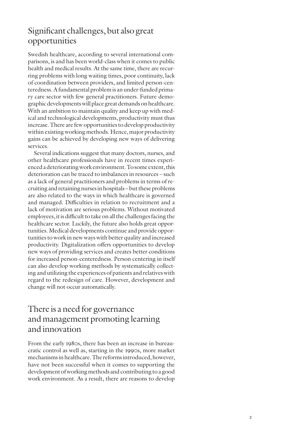#### Significant challenges, but also great opportunities

Swedish healthcare, according to several international com parisons, is and has been world-class when it comes to public health and medical results. At the same time, there are recur ring problems with long waiting times, poor continuity, lack of coordination between providers, and limited person-cen teredness. A fundamental problem is an under-funded prima ry care sector with few general practitioners. Future demographic developments will place great demands on healthcare. With an ambition to maintain quality and keep up with med ical and technological developments, productivity must thus increase. There are few opportunities to develop productivity within existing working methods. Hence, major productivity gains can be achieved by developing new ways of delivering services.

Several indications suggest that many doctors, nurses, and other healthcare professionals have in recent times experi enced a deteriorating work environment. To some extent, this deterioration can be traced to imbalances in resources – such as a lack of general practitioners and problems in terms of re cruiting and retaining nurses in hospitals – but these problems are also related to the ways in which healthcare is governed and managed. Difficulties in relation to recruitment and a lack of motivation are serious problems. Without motivated employees, it is difficult to take on all the challenges facing the healthcare sector. Luckily, the future also holds great oppor tunities. Medical developments continue and provide oppor tunities to work in new ways with better quality and increased productivity. Digitalization offers opportunities to develop new ways of providing services and creates better conditions for increased person-centeredness. Person centering in itself can also develop working methods by systematically collect ing and utilizing the experiences of patients and relatives with regard to the redesign of care. However, development and change will not occur automatically.

#### There is a need for governance and management promoting learning and innovation

From the early 1980s, there has been an increase in bureau cratic control as well as, starting in the 1990s, more market mechanisms in healthcare. The reforms introduced, however, have not been successful when it comes to supporting the development of working methods and contributing to a good work environment. As a result, there are reasons to develop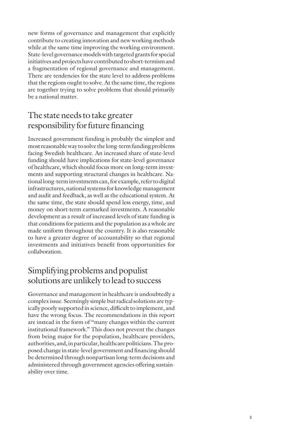new forms of governance and management that explicitly contribute to creating innovation and new working methods while at the same time improving the working environment. State-level governance models with targeted grants for special initiatives and projects have contributed to short-termism and a fragmentation of regional governance and management. There are tendencies for the state level to address problems that the regions ought to solve. At the same time, the regions are together trying to solve problems that should primarily be a national matter.

#### The state needs to take greater responsibility for future financing

Increased government funding is probably the simplest and most reasonable way to solve the long-term funding problems facing Swedish healthcare. An increased share of state-level funding should have implications for state-level governance of healthcare, which should focus more on long-term investments and supporting structural changes in healthcare. National long-term investments can, for example, refer to digital infrastructures, national systems for knowledge management and audit and feedback, as well as the educational system. At the same time, the state should spend less energy, time, and money on short-term earmarked investments. A reasonable development as a result of increased levels of state funding is that conditions for patients and the population as a whole are made uniform throughout the country. It is also reasonable to have a greater degree of accountability so that regional investments and initiatives benefit from opportunities for collaboration.

#### Simplifying problems and populist solutions are unlikely to lead to success

Governance and management in healthcare is undoubtedly a complex issue. Seemingly simple but radical solutions are typically poorly supported in science, difficult to implement, and have the wrong focus. The recommendations in this report are instead in the form of "many changes within the current institutional framework." This does not prevent the changes from being major for the population, healthcare providers, authorities, and, in particular, healthcare politicians. The proposed change in state-level government and financing should be determined through nonpartisan long-term decisions and administered through government agencies offering sustainability over time.